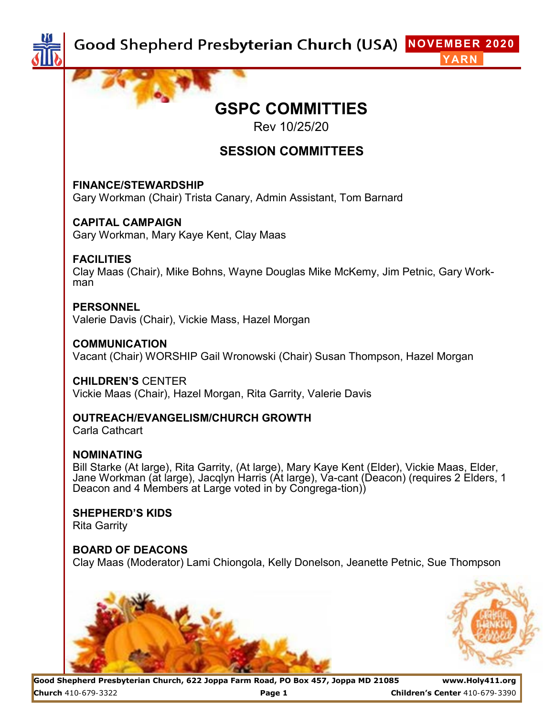

# **GSPC COMMITTIES**

Rev 10/25/20

## **SESSION COMMITTEES**

#### **FINANCE/STEWARDSHIP**

Gary Workman (Chair) Trista Canary, Admin Assistant, Tom Barnard

#### **CAPITAL CAMPAIGN**

Gary Workman, Mary Kaye Kent, Clay Maas

#### **FACILITIES**

Clay Maas (Chair), Mike Bohns, Wayne Douglas Mike McKemy, Jim Petnic, Gary Workman

#### **PERSONNEL**  Valerie Davis (Chair), Vickie Mass, Hazel Morgan

**COMMUNICATION**  Vacant (Chair) WORSHIP Gail Wronowski (Chair) Susan Thompson, Hazel Morgan

**CHILDREN'S** CENTER Vickie Maas (Chair), Hazel Morgan, Rita Garrity, Valerie Davis

## **OUTREACH/EVANGELISM/CHURCH GROWTH**

Carla Cathcart

### **NOMINATING**

Bill Starke (At large), Rita Garrity, (At large), Mary Kaye Kent (Elder), Vickie Maas, Elder, Jane Workman (at large), Jacqlyn Harris (At large), Va-cant (Deacon) (requires 2 Elders, 1 Deacon and 4 Members at Large voted in by Congrega-tion)

**SHEPHERD'S KIDS**  Rita Garrity

**BOARD OF DEACONS**  Clay Maas (Moderator) Lami Chiongola, Kelly Donelson, Jeanette Petnic, Sue Thompson





**Good Shepherd Presbyterian Church, 622 Joppa Farm Road, PO Box 457, Joppa MD 21085 www.Holy411.org Church** 410-679-3322 **Page 1 Children's Center** 410-679-3390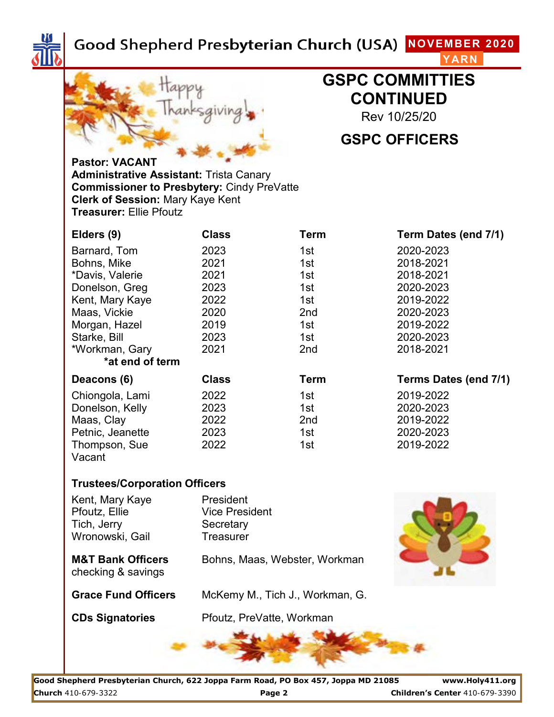



# **GSPC COMMITTIES CONTINUED**

Rev 10/25/20

# **GSPC OFFICERS**

**Pastor: VACANT Administrative Assistant:** Trista Canary **Commissioner to Presbytery:** Cindy PreVatte **Clerk of Session:** Mary Kaye Kent **Treasurer:** Ellie Pfoutz

| Elders (9)       | <b>Class</b> | Term            | Term Dates (end 7/1)  |
|------------------|--------------|-----------------|-----------------------|
| Barnard, Tom     | 2023         | 1st             | 2020-2023             |
| Bohns, Mike      | 2021         | 1st             | 2018-2021             |
| *Davis, Valerie  | 2021         | 1st             | 2018-2021             |
| Donelson, Greg   | 2023         | 1st             | 2020-2023             |
| Kent, Mary Kaye  | 2022         | 1st             | 2019-2022             |
| Maas, Vickie     | 2020         | 2 <sub>nd</sub> | 2020-2023             |
| Morgan, Hazel    | 2019         | 1st             | 2019-2022             |
| Starke, Bill     | 2023         | 1st             | 2020-2023             |
| *Workman, Gary   | 2021         | 2 <sub>nd</sub> | 2018-2021             |
| *at end of term  |              |                 |                       |
| Deacons (6)      | <b>Class</b> | <b>Term</b>     | Terms Dates (end 7/1) |
| Chiongola, Lami  | 2022         | 1st             | 2019-2022             |
| Donelson, Kelly  | 2023         | 1st             | 2020-2023             |
| Maas, Clay       | 2022         | 2 <sub>nd</sub> | 2019-2022             |
| Petnic, Jeanette | 2023         | 1st             | 2020-2023             |
| Thompson, Sue    | 2022         | 1st             | 2019-2022             |
| Vacant           |              |                 |                       |

#### **Trustees/Corporation Officers**

Kent, Mary Kaye President Pfoutz, Ellie Vice President Tich, Jerry Secretary Wronowski, Gail **Treasurer** 

checking & savings

**M&T Bank Officers** Bohns, Maas, Webster, Workman



**Grace Fund Officers** McKemy M., Tich J., Workman, G.

**CDs Signatories** Pfoutz, PreVatte, Workman



**Good Shepherd Presbyterian Church, 622 Joppa Farm Road, PO Box 457, Joppa MD 21085 www.Holy411.org Church** 410-679-3322 **Page 2 Children's Center** 410-679-3390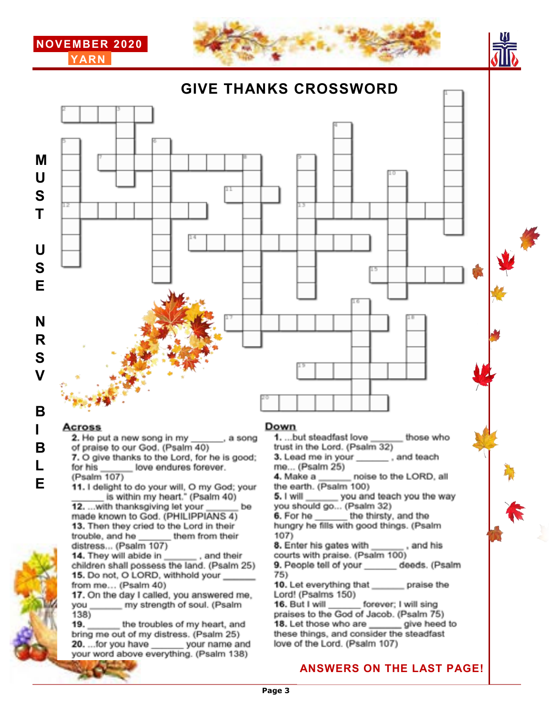

**GIVE THANKS CROSSWORD**





7. O give thanks to the Lord, for he is good;

love endures forever.

them from their

, and their

(Psalm 107) **E** 11. I delight to do your will, O my God; your is within my heart." (Psalm 40) 12. ... with thanksgiving let your made known to God. (PHILIPPIANS 4) 13. Then they cried to the Lord in their trouble, and he distress... (Psalm 107) 14. They will abide in children shall possess the land. (Psalm 25) 15. Do not, O LORD, withhold your from me... (Psalm 40) 17. On the day I called, you answered me, my strength of soul. (Psalm vou  $138)$  $19.1$ the troubles of my heart, and bring me out of my distress. (Psalm 25) 20. ... for you have your name and your word above everything. (Psalm 138)

for his

**L**

1. ...but steadfast love those who trust in the Lord. (Psalm 32)

3. Lead me in your \_\_\_\_\_\_\_\_, and teach me... (Psalm 25)

noise to the LORD, all 4. Make a the earth. (Psalm 100)

you and teach you the way 5. I will you should go... (Psalm 32)

6. For he \_\_\_\_\_\_\_ the thirsty, and the hungry he fills with good things. (Psalm 107).

, and his 8. Enter his gates with courts with praise. (Psalm 100)

9. People tell of your deeds. (Psalm 75)

10. Let everything that praise the Lord! (Psalms 150)

16. But I will forever; I will sing praises to the God of Jacob. (Psalm 75) 18. Let those who are \_\_\_\_\_\_ give heed to these things, and consider the steadfast love of the Lord. (Psalm 107)

### **ANSWERS ON THE LAST PAGE!**

be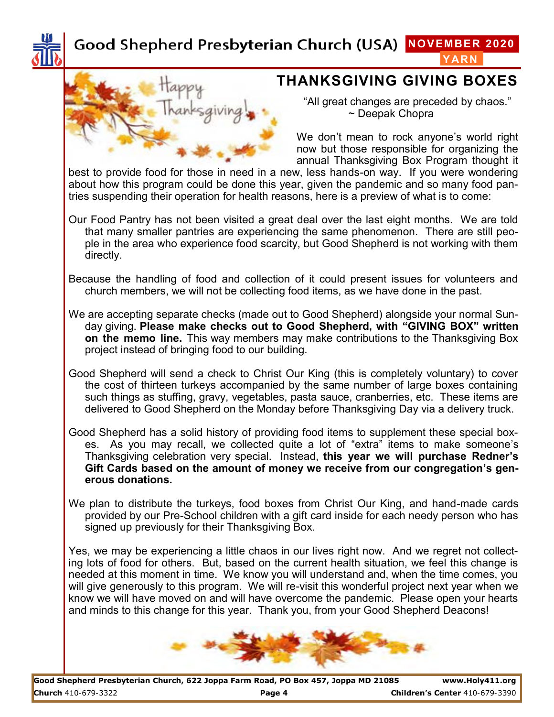

## **THANKSGIVING GIVING BOXES**

"All great changes are preceded by chaos." ~ Deepak Chopra

We don't mean to rock anyone's world right now but those responsible for organizing the annual Thanksgiving Box Program thought it

best to provide food for those in need in a new, less hands-on way. If you were wondering about how this program could be done this year, given the pandemic and so many food pantries suspending their operation for health reasons, here is a preview of what is to come:

- Our Food Pantry has not been visited a great deal over the last eight months. We are told that many smaller pantries are experiencing the same phenomenon. There are still people in the area who experience food scarcity, but Good Shepherd is not working with them directly.
- Because the handling of food and collection of it could present issues for volunteers and church members, we will not be collecting food items, as we have done in the past.
- We are accepting separate checks (made out to Good Shepherd) alongside your normal Sunday giving. **Please make checks out to Good Shepherd, with "GIVING BOX" written on the memo line.** This way members may make contributions to the Thanksgiving Box project instead of bringing food to our building.
- Good Shepherd will send a check to Christ Our King (this is completely voluntary) to cover the cost of thirteen turkeys accompanied by the same number of large boxes containing such things as stuffing, gravy, vegetables, pasta sauce, cranberries, etc. These items are delivered to Good Shepherd on the Monday before Thanksgiving Day via a delivery truck.
- Good Shepherd has a solid history of providing food items to supplement these special boxes. As you may recall, we collected quite a lot of "extra" items to make someone's Thanksgiving celebration very special. Instead, **this year we will purchase Redner's Gift Cards based on the amount of money we receive from our congregation's generous donations.**
- We plan to distribute the turkeys, food boxes from Christ Our King, and hand-made cards provided by our Pre-School children with a gift card inside for each needy person who has signed up previously for their Thanksgiving Box.

Yes, we may be experiencing a little chaos in our lives right now. And we regret not collecting lots of food for others. But, based on the current health situation, we feel this change is needed at this moment in time. We know you will understand and, when the time comes, you will give generously to this program. We will re-visit this wonderful project next year when we know we will have moved on and will have overcome the pandemic. Please open your hearts and minds to this change for this year. Thank you, from your Good Shepherd Deacons!

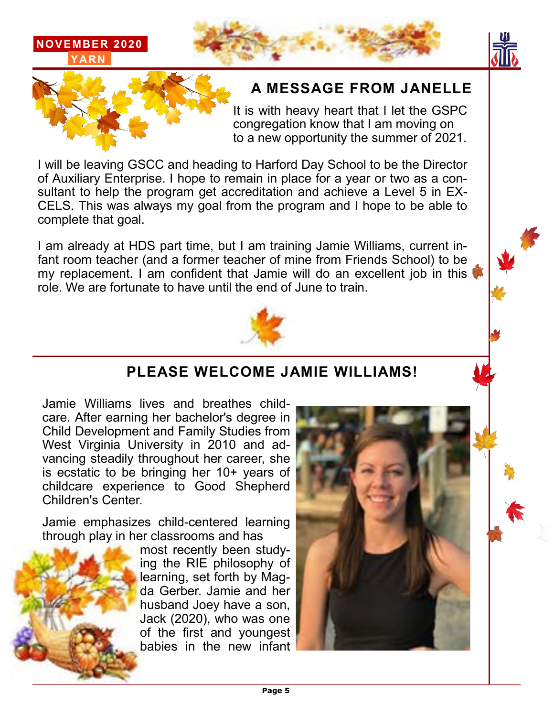







# **A MESSAGE FROM JANELLE**

It is with heavy heart that I let the GSPC congregation know that I am moving on to a new opportunity the summer of 2021.

I will be leaving GSCC and heading to Harford Day School to be the Director of Auxiliary Enterprise. I hope to remain in place for a year or two as a consultant to help the program get accreditation and achieve a Level 5 in EX-CELS. This was always my goal from the program and I hope to be able to complete that goal.

I am already at HDS part time, but I am training Jamie Williams, current infant room teacher (and a former teacher of mine from Friends School) to be my replacement. I am confident that Jamie will do an excellent job in this role. We are fortunate to have until the end of June to train.



# **PLEASE WELCOME JAMIE WILLIAMS!**

Jamie Williams lives and breathes childcare. After earning her bachelor's degree in Child Development and Family Studies from West Virginia University in 2010 and advancing steadily throughout her career, she is ecstatic to be bringing her 10+ years of childcare experience to Good Shepherd Children's Center.

Jamie emphasizes child-centered learning through play in her classrooms and has



most recently been studying the RIE philosophy of learning, set forth by Magda Gerber. Jamie and her husband Joey have a son, Jack (2020), who was one of the first and youngest babies in the new infant

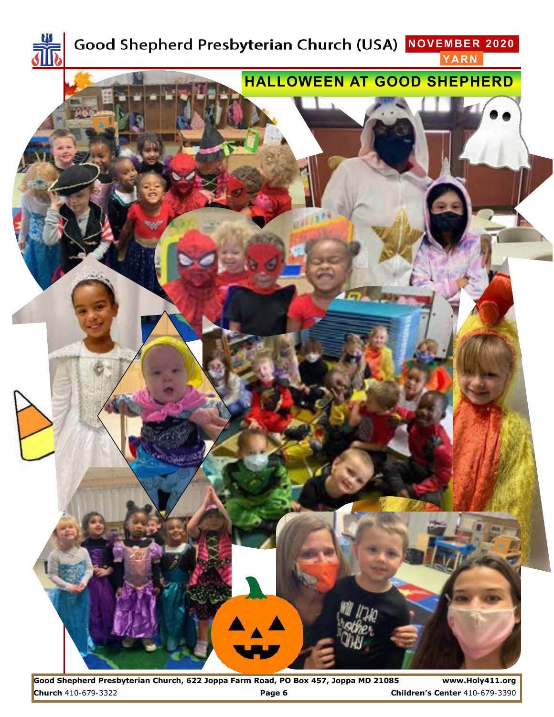

**Good Shepherd Presbyterian Church, 622 Joppa Farm Road, PO Box 457, Joppa MD 21085 www.Holy411.org Church** 410-679-3322 **Page 6 Children's Center** 410-679-3390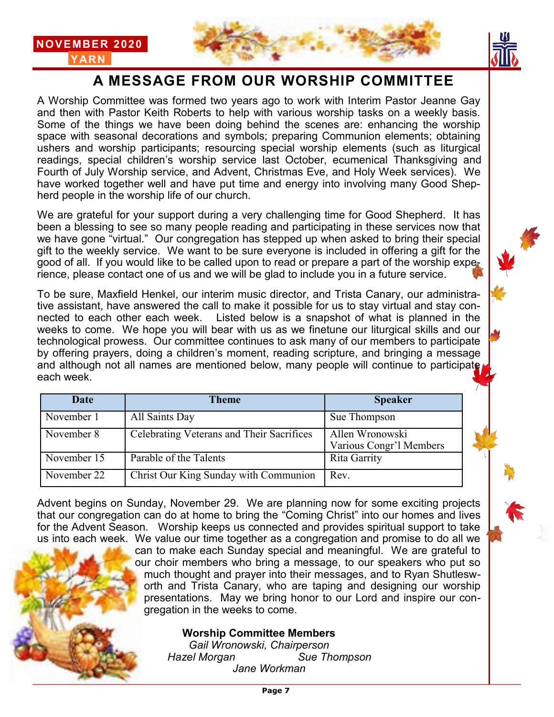



# **A MESSAGE FROM OUR WORSHIP COMMITTEE**

A Worship Committee was formed two years ago to work with Interim Pastor Jeanne Gay and then with Pastor Keith Roberts to help with various worship tasks on a weekly basis. Some of the things we have been doing behind the scenes are: enhancing the worship space with seasonal decorations and symbols; preparing Communion elements; obtaining ushers and worship participants; resourcing special worship elements (such as liturgical readings, special children's worship service last October, ecumenical Thanksgiving and Fourth of July Worship service, and Advent, Christmas Eve, and Holy Week services). We have worked together well and have put time and energy into involving many Good Shepherd people in the worship life of our church.

**NOVEMBER 2020 YARN**

We are grateful for your support during a very challenging time for Good Shepherd. It has been a blessing to see so many people reading and participating in these services now that we have gone "virtual." Our congregation has stepped up when asked to bring their special gift to the weekly service. We want to be sure everyone is included in offering a gift for the good of all. If you would like to be called upon to read or prepare a part of the worship experience, please contact one of us and we will be glad to include you in a future service.

To be sure, Maxfield Henkel, our interim music director, and Trista Canary, our administrative assistant, have answered the call to make it possible for us to stay virtual and stay connected to each other each week. Listed below is a snapshot of what is planned in the weeks to come. We hope you will bear with us as we finetune our liturgical skills and our technological prowess. Our committee continues to ask many of our members to participate by offering prayers, doing a children's moment, reading scripture, and bringing a message and although not all names are mentioned below, many people will continue to participate each week.

| Date        | Theme                                     | <b>Speaker</b>                             |
|-------------|-------------------------------------------|--------------------------------------------|
| November 1  | All Saints Day                            | Sue Thompson                               |
| November 8  | Celebrating Veterans and Their Sacrifices | Allen Wronowski<br>Various Congr'l Members |
| November 15 | Parable of the Talents                    | Rita Garrity                               |
| November 22 | Christ Our King Sunday with Communion     | Rev.                                       |

Advent begins on Sunday, November 29. We are planning now for some exciting projects that our congregation can do at home to bring the "Coming Christ" into our homes and lives for the Advent Season. Worship keeps us connected and provides spiritual support to take us into each week. We value our time together as a congregation and promise to do all we

can to make each Sunday special and meaningful. We are grateful to our choir members who bring a message, to our speakers who put so much thought and prayer into their messages, and to Ryan Shutlesw orth and Trista Canary, who are taping and designing our worship presentations. May we bring honor to our Lord and inspire our con gregation in the weeks to come.

#### **Worship Committee Members**

*Gail Wronowski, Chairperson Hazel Morgan Sue Thompson Jane Workman*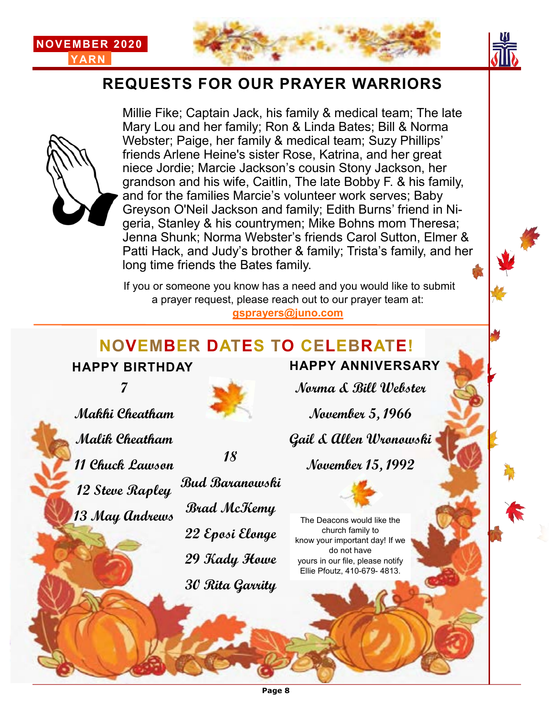





## **REQUESTS FOR OUR PRAYER WARRIORS**



Millie Fike; Captain Jack, his family & medical team; The late Mary Lou and her family; Ron & Linda Bates; Bill & Norma Webster; Paige, her family & medical team; Suzy Phillips' friends Arlene Heine's sister Rose, Katrina, and her great niece Jordie; Marcie Jackson's cousin Stony Jackson, her grandson and his wife, Caitlin, The late Bobby F. & his family, and for the families Marcie's volunteer work serves; Baby Greyson O'Neil Jackson and family; Edith Burns' friend in Nigeria, Stanley & his countrymen; Mike Bohns mom Theresa; Jenna Shunk; Norma Webster's friends Carol Sutton, Elmer & Patti Hack, and Judy's brother & family; Trista's family, and her long time friends the Bates family.

If you or someone you know has a need and you would like to submit a prayer request, please reach out to our prayer team at:

**gsprayers@juno.com**

# **NOVEMBER DATES TO CELEBRATE! HAPPY BIRTHDAY HAPPY ANNIVERSARY**

**7**

**Makhi Cheatham**



**18**

**Norma & Bill Webster**

**November 5, 1966**

**Gail & Allen Wronowski**

**November 15, 1992**



The Deacons would like the church family to know your important day! If we do not have yours in our file, please notify Ellie Pfoutz, 410-679- 4813.

**Malik Cheatham 11 Chuck Lawson 12 Steve Rapley 13 May Andrews**



**29 Kady Howe**

**30 Rita Garrity**